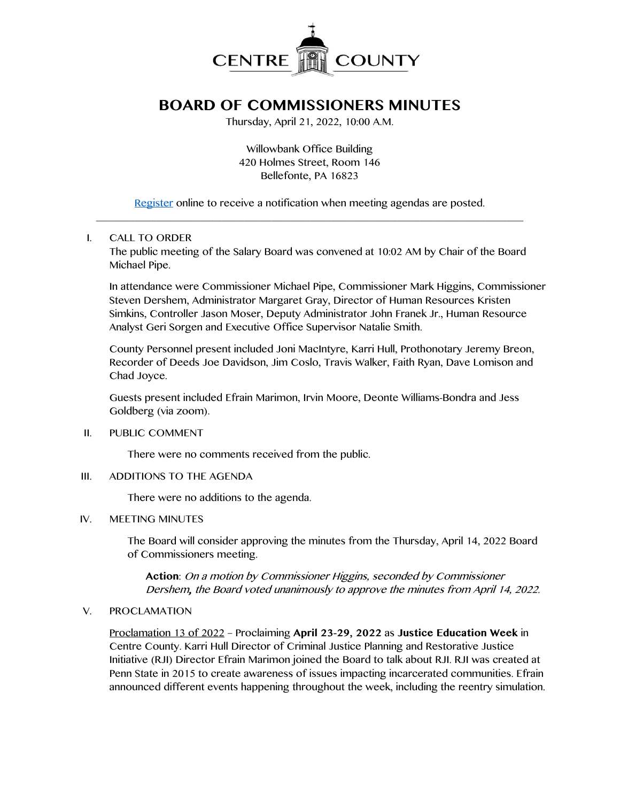

# **BOARD OF COMMISSIONERS MINUTES**

Thursday, April 21, 2022, 10:00 A.M.

Willowbank Office Building 420 Holmes Street, Room 146 Bellefonte, PA 16823

[Register](http://www.centrecountypa.gov/AgendaCenter) online to receive a notification when meeting agendas are posted. \_\_\_\_\_\_\_\_\_\_\_\_\_\_\_\_\_\_\_\_\_\_\_\_\_\_\_\_\_\_\_\_\_\_\_\_\_\_\_\_\_\_\_\_\_\_\_\_\_\_\_\_\_\_\_\_\_\_\_\_\_\_\_\_\_\_\_\_\_\_\_\_\_\_\_\_\_\_

# I. CALL TO ORDER

The public meeting of the Salary Board was convened at 10:02 AM by Chair of the Board Michael Pipe.

In attendance were Commissioner Michael Pipe, Commissioner Mark Higgins, Commissioner Steven Dershem, Administrator Margaret Gray, Director of Human Resources Kristen Simkins, Controller Jason Moser, Deputy Administrator John Franek Jr., Human Resource Analyst Geri Sorgen and Executive Office Supervisor Natalie Smith.

County Personnel present included Joni MacIntyre, Karri Hull, Prothonotary Jeremy Breon, Recorder of Deeds Joe Davidson, Jim Coslo, Travis Walker, Faith Ryan, Dave Lomison and Chad Joyce.

Guests present included Efrain Marimon, Irvin Moore, Deonte Williams-Bondra and Jess Goldberg (via zoom).

II. PUBLIC COMMENT

There were no comments received from the public.

III. ADDITIONS TO THE AGENDA

There were no additions to the agenda.

#### IV. MEETING MINUTES

The Board will consider approving the minutes from the Thursday, April 14, 2022 Board of Commissioners meeting.

**Action**: On a motion by Commissioner Higgins, seconded by Commissioner Dershem, the Board voted unanimously to approve the minutes from April 14, 2022.

#### V. PROCLAMATION

Proclamation 13 of 2022 – Proclaiming **April 23-29, 2022** as **Justice Education Week** in Centre County. Karri Hull Director of Criminal Justice Planning and Restorative Justice Initiative (RJI) Director Efrain Marimon joined the Board to talk about RJI. RJI was created at Penn State in 2015 to create awareness of issues impacting incarcerated communities. Efrain announced different events happening throughout the week, including the reentry simulation.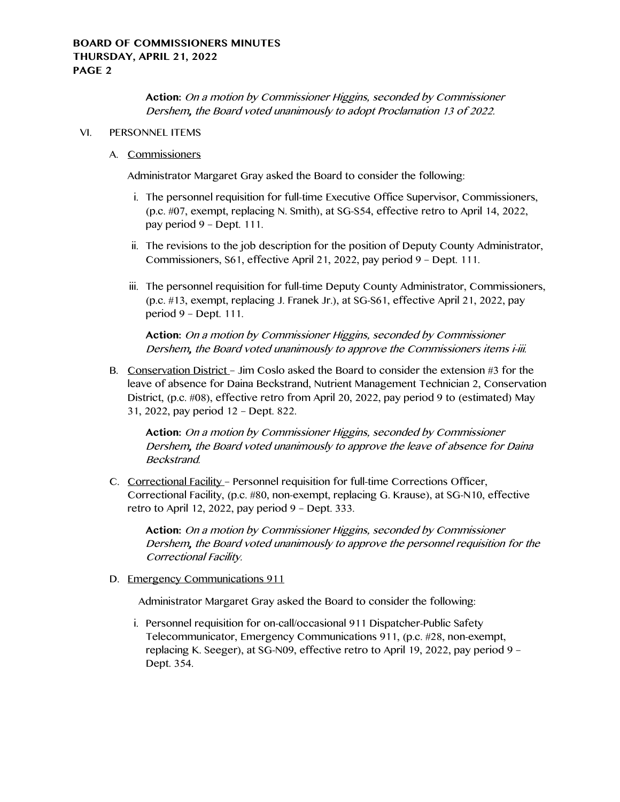**Action:** On a motion by Commissioner Higgins, seconded by Commissioner Dershem, the Board voted unanimously to adopt Proclamation 13 of 2022.

## VI. PERSONNEL ITEMS

#### A. Commissioners

Administrator Margaret Gray asked the Board to consider the following:

- i. The personnel requisition for full-time Executive Office Supervisor, Commissioners, (p.c. #07, exempt, replacing N. Smith), at SG-S54, effective retro to April 14, 2022, pay period 9 – Dept. 111.
- ii. The revisions to the job description for the position of Deputy County Administrator, Commissioners, S61, effective April 21, 2022, pay period 9 – Dept. 111.
- iii. The personnel requisition for full-time Deputy County Administrator, Commissioners, (p.c. #13, exempt, replacing J. Franek Jr.), at SG-S61, effective April 21, 2022, pay period 9 – Dept. 111.

**Action:** On a motion by Commissioner Higgins, seconded by Commissioner Dershem, the Board voted unanimously to approve the Commissioners items i-iii.

B. Conservation District – Jim Coslo asked the Board to consider the extension #3 for the leave of absence for Daina Beckstrand, Nutrient Management Technician 2, Conservation District, (p.c. #08), effective retro from April 20, 2022, pay period 9 to (estimated) May 31, 2022, pay period 12 – Dept. 822.

**Action:** On a motion by Commissioner Higgins, seconded by Commissioner Dershem, the Board voted unanimously to approve the leave of absence for Daina Beckstrand.

C. Correctional Facility – Personnel requisition for full-time Corrections Officer, Correctional Facility, (p.c. #80, non-exempt, replacing G. Krause), at SG-N10, effective retro to April 12, 2022, pay period 9 – Dept. 333.

**Action:** On a motion by Commissioner Higgins, seconded by Commissioner Dershem, the Board voted unanimously to approve the personnel requisition for the Correctional Facility.

D. Emergency Communications 911

Administrator Margaret Gray asked the Board to consider the following:

i. Personnel requisition for on-call/occasional 911 Dispatcher-Public Safety Telecommunicator, Emergency Communications 911, (p.c. #28, non-exempt, replacing K. Seeger), at SG-N09, effective retro to April 19, 2022, pay period 9 – Dept. 354.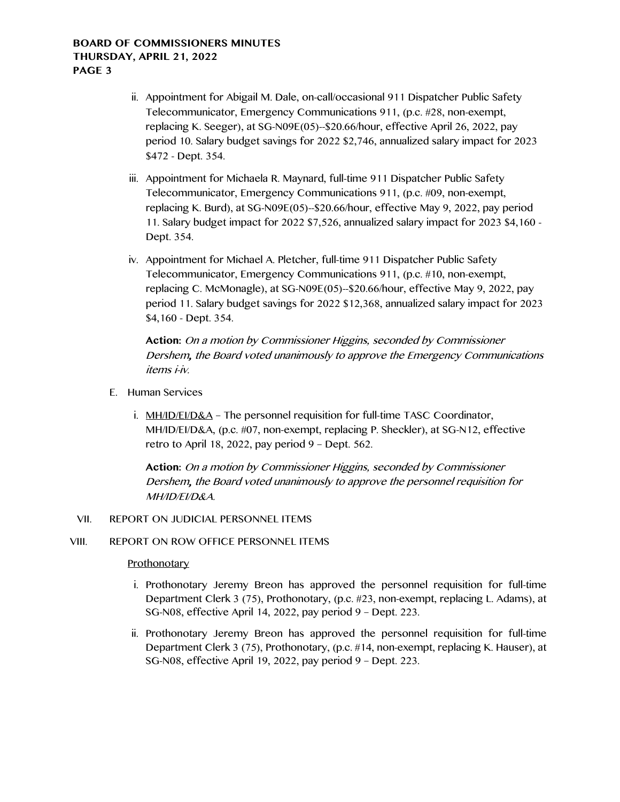- ii. Appointment for Abigail M. Dale, on-call/occasional 911 Dispatcher Public Safety Telecommunicator, Emergency Communications 911, (p.c. #28, non-exempt, replacing K. Seeger), at SG-N09E(05)--\$20.66/hour, effective April 26, 2022, pay period 10. Salary budget savings for 2022 \$2,746, annualized salary impact for 2023 \$472 - Dept. 354.
- iii. Appointment for Michaela R. Maynard, full-time 911 Dispatcher Public Safety Telecommunicator, Emergency Communications 911, (p.c. #09, non-exempt, replacing K. Burd), at SG-N09E(05)--\$20.66/hour, effective May 9, 2022, pay period 11. Salary budget impact for 2022 \$7,526, annualized salary impact for 2023 \$4,160 - Dept. 354.
- iv. Appointment for Michael A. Pletcher, full-time 911 Dispatcher Public Safety Telecommunicator, Emergency Communications 911, (p.c. #10, non-exempt, replacing C. McMonagle), at SG-N09E(05)--\$20.66/hour, effective May 9, 2022, pay period 11. Salary budget savings for 2022 \$12,368, annualized salary impact for 2023 \$4,160 - Dept. 354.

**Action:** On a motion by Commissioner Higgins, seconded by Commissioner Dershem, the Board voted unanimously to approve the Emergency Communications items i-iv.

- E. Human Services
	- i. MH/ID/EI/D&A The personnel requisition for full-time TASC Coordinator, MH/ID/EI/D&A, (p.c. #07, non-exempt, replacing P. Sheckler), at SG-N12, effective retro to April 18, 2022, pay period 9 – Dept. 562.

**Action:** On a motion by Commissioner Higgins, seconded by Commissioner Dershem, the Board voted unanimously to approve the personnel requisition for MH/ID/EI/D&A.

# VII. REPORT ON JUDICIAL PERSONNEL ITEMS

# VIII. REPORT ON ROW OFFICE PERSONNEL ITEMS

# **Prothonotary**

- i. Prothonotary Jeremy Breon has approved the personnel requisition for full-time Department Clerk 3 (75), Prothonotary, (p.c. #23, non-exempt, replacing L. Adams), at SG-N08, effective April 14, 2022, pay period 9 – Dept. 223.
- ii. Prothonotary Jeremy Breon has approved the personnel requisition for full-time Department Clerk 3 (75), Prothonotary, (p.c. #14, non-exempt, replacing K. Hauser), at SG-N08, effective April 19, 2022, pay period 9 – Dept. 223.